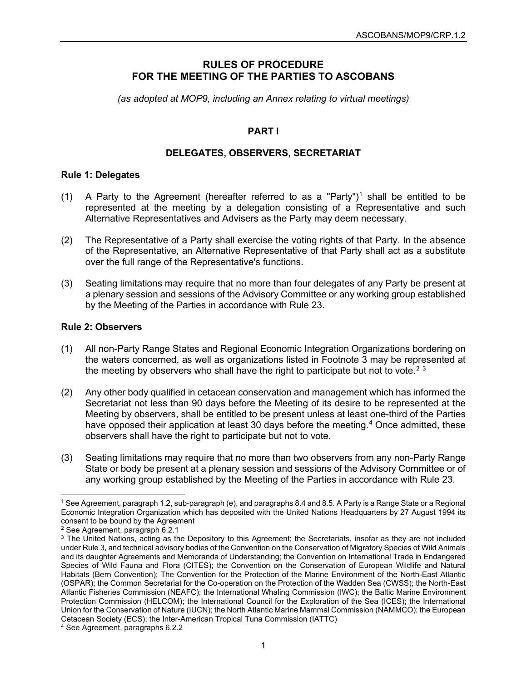## **RULES OF PROCEDURE FOR THE MEETING OF THE PARTIES TO ASCOBANS**

*(as adopted at MOP9, including an Annex relating to virtual meetings)*

## **PART I**

### **DELEGATES, OBSERVERS, SECRETARIAT**

#### **Rule 1: Delegates**

- (1) A Party to the Agreement (hereafter referred to as a "Party")<sup>1</sup> shall be entitled to be represented at the meeting by a delegation consisting of a Representative and such Alternative Representatives and Advisers as the Party may deem necessary.
- (2) The Representative of a Party shall exercise the voting rights of that Party. In the absence of the Representative, an Alternative Representative of that Party shall act as a substitute over the full range of the Representative's functions.
- (3) Seating limitations may require that no more than four delegates of any Party be present at a plenary session and sessions of the Advisory Committee or any working group established by the Meeting of the Parties in accordance with Rule 23.

### **Rule 2: Observers**

- (1) All non-Party Range States and Regional Economic Integration Organizations bordering on the waters concerned, as well as organizations listed in Footnote 3 may be represented at the meeting by observers who shall have the right to participate but not to vote.<sup>[2](#page-0-1)[3](#page-0-2)</sup>
- (2) Any other body qualified in cetacean conservation and management which has informed the Secretariat not less than 90 days before the Meeting of its desire to be represented at the Meeting by observers, shall be entitled to be present unless at least one-third of the Parties have opposed their application at least 30 days before the meeting.<sup>[4](#page-0-3)</sup> Once admitted, these observers shall have the right to participate but not to vote.
- (3) Seating limitations may require that no more than two observers from any non-Party Range State or body be present at a plenary session and sessions of the Advisory Committee or of any working group established by the Meeting of the Parties in accordance with Rule 23.

<span id="page-0-0"></span><sup>1</sup> See Agreement, paragraph 1.2, sub-paragraph (e), and paragraphs 8.4 and 8.5. A Party is a Range State or a Regional Economic Integration Organization which has deposited with the United Nations Headquarters by 27 August 1994 its consent to be bound by the Agreement

<span id="page-0-1"></span><sup>2</sup> See Agreement, paragraph 6.2.1

<span id="page-0-2"></span><sup>&</sup>lt;sup>3</sup> The United Nations, acting as the Depository to this Agreement; the Secretariats, insofar as they are not included under Rule 3, and technical advisory bodies of the Convention on the Conservation of Migratory Species of Wild Animals and its daughter Agreements and Memoranda of Understanding; the Convention on International Trade in Endangered Species of Wild Fauna and Flora (CITES); the Convention on the Conservation of European Wildlife and Natural Habitats (Bern Convention); The Convention for the Protection of the Marine Environment of the North-East Atlantic (OSPAR); the Common Secretariat for the Co-operation on the Protection of the Wadden Sea (CWSS); the North-East Atlantic Fisheries Commission (NEAFC); the International Whaling Commission (IWC); the Baltic Marine Environment Protection Commission (HELCOM); the International Council for the Exploration of the Sea (ICES); the International Union for the Conservation of Nature (IUCN); the North Atlantic Marine Mammal Commission (NAMMCO); the European Cetacean Society (ECS); the Inter-American Tropical Tuna Commission (IATTC)

<span id="page-0-3"></span><sup>4</sup> See Agreement, paragraphs 6.2.2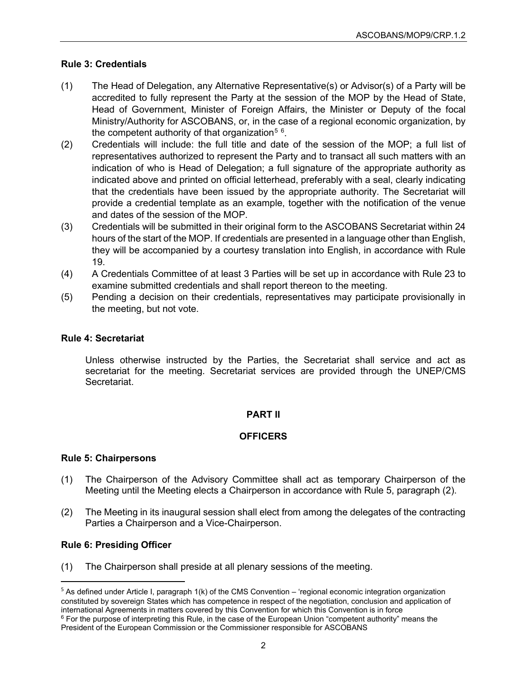## **Rule 3: Credentials**

- (1) The Head of Delegation, any Alternative Representative(s) or Advisor(s) of a Party will be accredited to fully represent the Party at the session of the MOP by the Head of State, Head of Government, Minister of Foreign Affairs, the Minister or Deputy of the focal Ministry/Authority for ASCOBANS, or, in the case of a regional economic organization, by the competent authority of that organization $^5$  $^5$   $^6$  $^6$ .
- (2) Credentials will include: the full title and date of the session of the MOP; a full list of representatives authorized to represent the Party and to transact all such matters with an indication of who is Head of Delegation; a full signature of the appropriate authority as indicated above and printed on official letterhead, preferably with a seal, clearly indicating that the credentials have been issued by the appropriate authority. The Secretariat will provide a credential template as an example, together with the notification of the venue and dates of the session of the MOP.
- (3) Credentials will be submitted in their original form to the ASCOBANS Secretariat within 24 hours of the start of the MOP. If credentials are presented in a language other than English, they will be accompanied by a courtesy translation into English, in accordance with Rule 19.
- (4) A Credentials Committee of at least 3 Parties will be set up in accordance with Rule 23 to examine submitted credentials and shall report thereon to the meeting.
- (5) Pending a decision on their credentials, representatives may participate provisionally in the meeting, but not vote.

## **Rule 4: Secretariat**

Unless otherwise instructed by the Parties, the Secretariat shall service and act as secretariat for the meeting. Secretariat services are provided through the UNEP/CMS Secretariat.

# **PART II**

# **OFFICERS**

## **Rule 5: Chairpersons**

- (1) The Chairperson of the Advisory Committee shall act as temporary Chairperson of the Meeting until the Meeting elects a Chairperson in accordance with Rule 5, paragraph (2).
- (2) The Meeting in its inaugural session shall elect from among the delegates of the contracting Parties a Chairperson and a Vice-Chairperson.

## **Rule 6: Presiding Officer**

(1) The Chairperson shall preside at all plenary sessions of the meeting.

<span id="page-1-0"></span> $5$  As defined under Article I, paragraph 1(k) of the CMS Convention – 'regional economic integration organization constituted by sovereign States which has competence in respect of the negotiation, conclusion and application of international Agreements in matters covered by this Convention for which this Convention is in force <sup>6</sup> For the purpose of interpreting this Rule, in the case of the European Union "competent authority" means the

<span id="page-1-1"></span>President of the European Commission or the Commissioner responsible for ASCOBANS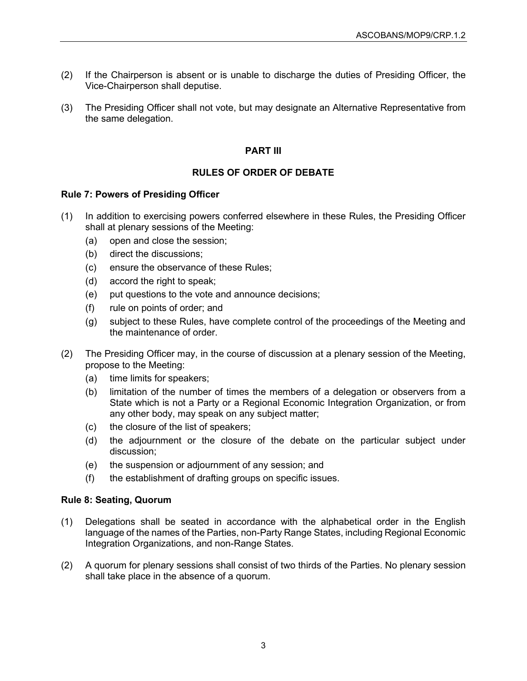- (2) If the Chairperson is absent or is unable to discharge the duties of Presiding Officer, the Vice-Chairperson shall deputise.
- (3) The Presiding Officer shall not vote, but may designate an Alternative Representative from the same delegation.

# **PART III**

# **RULES OF ORDER OF DEBATE**

# **Rule 7: Powers of Presiding Officer**

- (1) In addition to exercising powers conferred elsewhere in these Rules, the Presiding Officer shall at plenary sessions of the Meeting:
	- (a) open and close the session;
	- (b) direct the discussions;
	- (c) ensure the observance of these Rules;
	- (d) accord the right to speak;
	- (e) put questions to the vote and announce decisions;
	- (f) rule on points of order; and
	- (g) subject to these Rules, have complete control of the proceedings of the Meeting and the maintenance of order.
- (2) The Presiding Officer may, in the course of discussion at a plenary session of the Meeting, propose to the Meeting:
	- (a) time limits for speakers;
	- (b) limitation of the number of times the members of a delegation or observers from a State which is not a Party or a Regional Economic Integration Organization, or from any other body, may speak on any subject matter;
	- (c) the closure of the list of speakers;
	- (d) the adjournment or the closure of the debate on the particular subject under discussion;
	- (e) the suspension or adjournment of any session; and
	- (f) the establishment of drafting groups on specific issues.

## **Rule 8: Seating, Quorum**

- (1) Delegations shall be seated in accordance with the alphabetical order in the English language of the names of the Parties, non-Party Range States, including Regional Economic Integration Organizations, and non-Range States.
- (2) A quorum for plenary sessions shall consist of two thirds of the Parties. No plenary session shall take place in the absence of a quorum.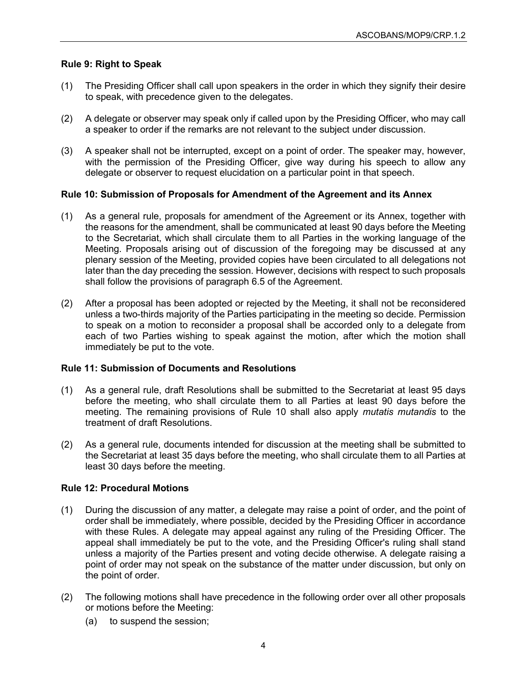# **Rule 9: Right to Speak**

- (1) The Presiding Officer shall call upon speakers in the order in which they signify their desire to speak, with precedence given to the delegates.
- (2) A delegate or observer may speak only if called upon by the Presiding Officer, who may call a speaker to order if the remarks are not relevant to the subject under discussion.
- (3) A speaker shall not be interrupted, except on a point of order. The speaker may, however, with the permission of the Presiding Officer, give way during his speech to allow any delegate or observer to request elucidation on a particular point in that speech.

# **Rule 10: Submission of Proposals for Amendment of the Agreement and its Annex**

- (1) As a general rule, proposals for amendment of the Agreement or its Annex, together with the reasons for the amendment, shall be communicated at least 90 days before the Meeting to the Secretariat, which shall circulate them to all Parties in the working language of the Meeting. Proposals arising out of discussion of the foregoing may be discussed at any plenary session of the Meeting, provided copies have been circulated to all delegations not later than the day preceding the session. However, decisions with respect to such proposals shall follow the provisions of paragraph 6.5 of the Agreement.
- (2) After a proposal has been adopted or rejected by the Meeting, it shall not be reconsidered unless a two-thirds majority of the Parties participating in the meeting so decide. Permission to speak on a motion to reconsider a proposal shall be accorded only to a delegate from each of two Parties wishing to speak against the motion, after which the motion shall immediately be put to the vote.

## **Rule 11: Submission of Documents and Resolutions**

- (1) As a general rule, draft Resolutions shall be submitted to the Secretariat at least 95 days before the meeting, who shall circulate them to all Parties at least 90 days before the meeting. The remaining provisions of Rule 10 shall also apply *mutatis mutandis* to the treatment of draft Resolutions.
- (2) As a general rule, documents intended for discussion at the meeting shall be submitted to the Secretariat at least 35 days before the meeting, who shall circulate them to all Parties at least 30 days before the meeting.

## **Rule 12: Procedural Motions**

- (1) During the discussion of any matter, a delegate may raise a point of order, and the point of order shall be immediately, where possible, decided by the Presiding Officer in accordance with these Rules. A delegate may appeal against any ruling of the Presiding Officer. The appeal shall immediately be put to the vote, and the Presiding Officer's ruling shall stand unless a majority of the Parties present and voting decide otherwise. A delegate raising a point of order may not speak on the substance of the matter under discussion, but only on the point of order.
- (2) The following motions shall have precedence in the following order over all other proposals or motions before the Meeting:
	- (a) to suspend the session;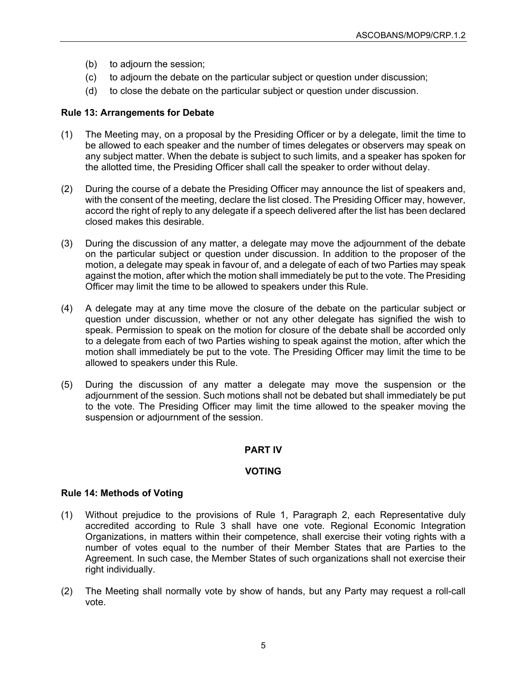- (b) to adjourn the session;
- (c) to adjourn the debate on the particular subject or question under discussion;
- (d) to close the debate on the particular subject or question under discussion.

# **Rule 13: Arrangements for Debate**

- (1) The Meeting may, on a proposal by the Presiding Officer or by a delegate, limit the time to be allowed to each speaker and the number of times delegates or observers may speak on any subject matter. When the debate is subject to such limits, and a speaker has spoken for the allotted time, the Presiding Officer shall call the speaker to order without delay.
- (2) During the course of a debate the Presiding Officer may announce the list of speakers and, with the consent of the meeting, declare the list closed. The Presiding Officer may, however, accord the right of reply to any delegate if a speech delivered after the list has been declared closed makes this desirable.
- (3) During the discussion of any matter, a delegate may move the adjournment of the debate on the particular subject or question under discussion. In addition to the proposer of the motion, a delegate may speak in favour of, and a delegate of each of two Parties may speak against the motion, after which the motion shall immediately be put to the vote. The Presiding Officer may limit the time to be allowed to speakers under this Rule.
- (4) A delegate may at any time move the closure of the debate on the particular subject or question under discussion, whether or not any other delegate has signified the wish to speak. Permission to speak on the motion for closure of the debate shall be accorded only to a delegate from each of two Parties wishing to speak against the motion, after which the motion shall immediately be put to the vote. The Presiding Officer may limit the time to be allowed to speakers under this Rule.
- (5) During the discussion of any matter a delegate may move the suspension or the adjournment of the session. Such motions shall not be debated but shall immediately be put to the vote. The Presiding Officer may limit the time allowed to the speaker moving the suspension or adjournment of the session.

# **PART IV**

## **VOTING**

## **Rule 14: Methods of Voting**

- (1) Without prejudice to the provisions of Rule 1, Paragraph 2, each Representative duly accredited according to Rule 3 shall have one vote. Regional Economic Integration Organizations, in matters within their competence, shall exercise their voting rights with a number of votes equal to the number of their Member States that are Parties to the Agreement. In such case, the Member States of such organizations shall not exercise their right individually.
- (2) The Meeting shall normally vote by show of hands, but any Party may request a roll-call vote.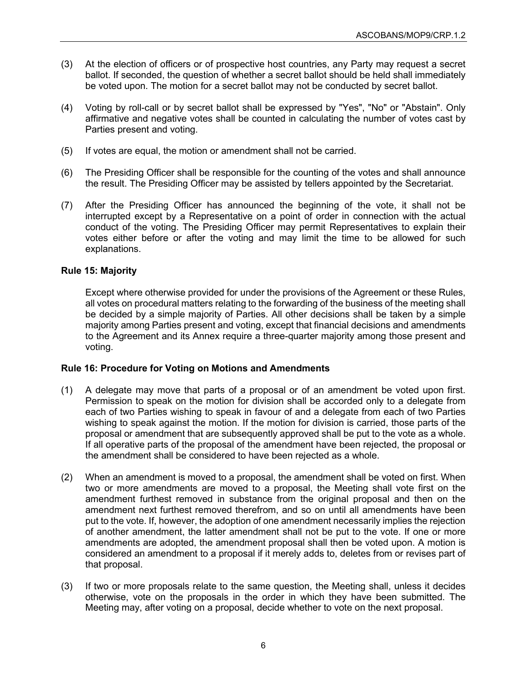- (3) At the election of officers or of prospective host countries, any Party may request a secret ballot. If seconded, the question of whether a secret ballot should be held shall immediately be voted upon. The motion for a secret ballot may not be conducted by secret ballot.
- (4) Voting by roll-call or by secret ballot shall be expressed by "Yes", "No" or "Abstain". Only affirmative and negative votes shall be counted in calculating the number of votes cast by Parties present and voting.
- (5) If votes are equal, the motion or amendment shall not be carried.
- (6) The Presiding Officer shall be responsible for the counting of the votes and shall announce the result. The Presiding Officer may be assisted by tellers appointed by the Secretariat.
- (7) After the Presiding Officer has announced the beginning of the vote, it shall not be interrupted except by a Representative on a point of order in connection with the actual conduct of the voting. The Presiding Officer may permit Representatives to explain their votes either before or after the voting and may limit the time to be allowed for such explanations.

### **Rule 15: Majority**

Except where otherwise provided for under the provisions of the Agreement or these Rules, all votes on procedural matters relating to the forwarding of the business of the meeting shall be decided by a simple majority of Parties. All other decisions shall be taken by a simple majority among Parties present and voting, except that financial decisions and amendments to the Agreement and its Annex require a three-quarter majority among those present and voting.

## **Rule 16: Procedure for Voting on Motions and Amendments**

- (1) A delegate may move that parts of a proposal or of an amendment be voted upon first. Permission to speak on the motion for division shall be accorded only to a delegate from each of two Parties wishing to speak in favour of and a delegate from each of two Parties wishing to speak against the motion. If the motion for division is carried, those parts of the proposal or amendment that are subsequently approved shall be put to the vote as a whole. If all operative parts of the proposal of the amendment have been rejected, the proposal or the amendment shall be considered to have been rejected as a whole.
- (2) When an amendment is moved to a proposal, the amendment shall be voted on first. When two or more amendments are moved to a proposal, the Meeting shall vote first on the amendment furthest removed in substance from the original proposal and then on the amendment next furthest removed therefrom, and so on until all amendments have been put to the vote. If, however, the adoption of one amendment necessarily implies the rejection of another amendment, the latter amendment shall not be put to the vote. If one or more amendments are adopted, the amendment proposal shall then be voted upon. A motion is considered an amendment to a proposal if it merely adds to, deletes from or revises part of that proposal.
- (3) If two or more proposals relate to the same question, the Meeting shall, unless it decides otherwise, vote on the proposals in the order in which they have been submitted. The Meeting may, after voting on a proposal, decide whether to vote on the next proposal.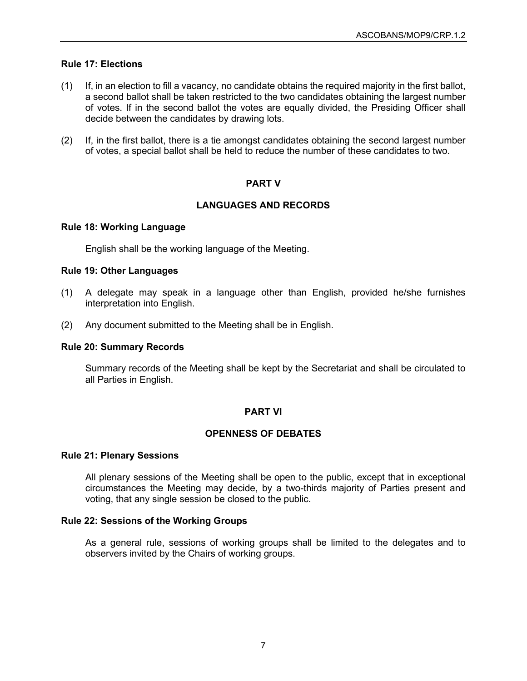## **Rule 17: Elections**

- (1) If, in an election to fill a vacancy, no candidate obtains the required majority in the first ballot, a second ballot shall be taken restricted to the two candidates obtaining the largest number of votes. If in the second ballot the votes are equally divided, the Presiding Officer shall decide between the candidates by drawing lots.
- (2) If, in the first ballot, there is a tie amongst candidates obtaining the second largest number of votes, a special ballot shall be held to reduce the number of these candidates to two.

## **PART V**

# **LANGUAGES AND RECORDS**

### **Rule 18: Working Language**

English shall be the working language of the Meeting.

### **Rule 19: Other Languages**

- (1) A delegate may speak in a language other than English, provided he/she furnishes interpretation into English.
- (2) Any document submitted to the Meeting shall be in English.

#### **Rule 20: Summary Records**

Summary records of the Meeting shall be kept by the Secretariat and shall be circulated to all Parties in English.

## **PART VI**

## **OPENNESS OF DEBATES**

#### **Rule 21: Plenary Sessions**

All plenary sessions of the Meeting shall be open to the public, except that in exceptional circumstances the Meeting may decide, by a two-thirds majority of Parties present and voting, that any single session be closed to the public.

## **Rule 22: Sessions of the Working Groups**

As a general rule, sessions of working groups shall be limited to the delegates and to observers invited by the Chairs of working groups.